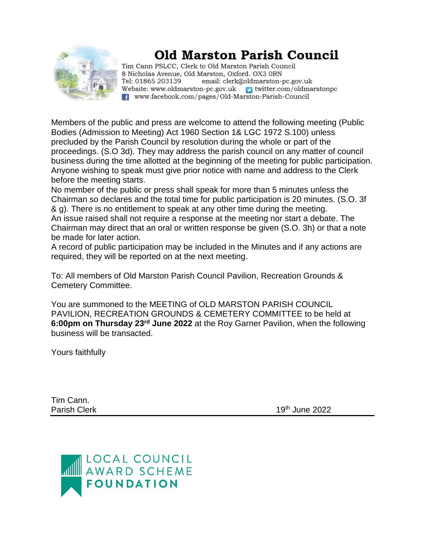

## **Old Marston Parish Council**

Tim Cann PSLCC, Clerk to Old Marston Parish Council 8 Nicholas Avenue, Old Marston, Oxford. OX3 ORN Tel: 01865 203139 email: clerk@oldmarston-pc.gov.uk Website: www.oldmarston-pc.gov.uk vitter.com/oldmarstonpc F. www.facebook.com/pages/Old-Marston-Parish-Council

Members of the public and press are welcome to attend the following meeting (Public Bodies (Admission to Meeting) Act 1960 Section 1& LGC 1972 S.100) unless precluded by the Parish Council by resolution during the whole or part of the proceedings. (S.O 3d). They may address the parish council on any matter of council business during the time allotted at the beginning of the meeting for public participation. Anyone wishing to speak must give prior notice with name and address to the Clerk before the meeting starts.

No member of the public or press shall speak for more than 5 minutes unless the Chairman so declares and the total time for public participation is 20 minutes. (S.O. 3f & g). There is no entitlement to speak at any other time during the meeting. An issue raised shall not require a response at the meeting nor start a debate. The Chairman may direct that an oral or written response be given (S.O. 3h) or that a note be made for later action.

A record of public participation may be included in the Minutes and if any actions are required, they will be reported on at the next meeting.

To: All members of Old Marston Parish Council Pavilion, Recreation Grounds & Cemetery Committee.

You are summoned to the MEETING of OLD MARSTON PARISH COUNCIL PAVILION, RECREATION GROUNDS & CEMETERY COMMITTEE to be held at **6:00pm on Thursday 23rd June 2022** at the Roy Garner Pavilion, when the following business will be transacted.

Yours faithfully

Tim Cann.

Parish Clerk 19th June 2022